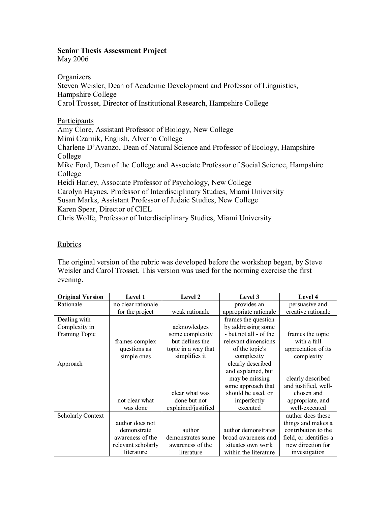# **Senior Thesis Assessment Project**

May 2006

**Organizers** Steven Weisler, Dean of Academic Development and Professor of Linguistics, Hampshire College Carol Trosset, Director of Institutional Research, Hampshire College

Participants Amy Clore, Assistant Professor of Biology, New College Mimi Czarnik, English, Alverno College Charlene D'Avanzo, Dean of Natural Science and Professor of Ecology, Hampshire College Mike Ford, Dean of the College and Associate Professor of Social Science, Hampshire College Heidi Harley, Associate Professor of Psychology, New College Carolyn Haynes, Professor of Interdisciplinary Studies, Miami University Susan Marks, Assistant Professor of Judaic Studies, New College Karen Spear, Director of CIEL Chris Wolfe, Professor of Interdisciplinary Studies, Miami University

# **Rubrics**

The original version of the rubric was developed before the workshop began, by Steve Weisler and Carol Trosset. This version was used for the norming exercise the first evening.

| <b>Original Version</b>  | <b>Level 1</b>     | Level 2             | Level 3                | Level 4                |
|--------------------------|--------------------|---------------------|------------------------|------------------------|
| Rationale                | no clear rationale |                     | provides an            | persuasive and         |
|                          | for the project    | weak rationale      | appropriate rationale  | creative rationale     |
| Dealing with             |                    |                     | frames the question    |                        |
| Complexity in            |                    | acknowledges        | by addressing some     |                        |
| Framing Topic            |                    | some complexity     | - but not all - of the | frames the topic       |
|                          | frames complex     | but defines the     | relevant dimensions    | with a full            |
|                          | questions as       | topic in a way that | of the topic's         | appreciation of its    |
|                          | simple ones        | simplifies it       | complexity             | complexity             |
| Approach                 |                    |                     | clearly described      |                        |
|                          |                    |                     | and explained, but     |                        |
|                          |                    |                     | may be missing         | clearly described      |
|                          |                    |                     | some approach that     | and justified, well-   |
|                          |                    | clear what was      | should be used, or     | chosen and             |
|                          | not clear what     | done but not        | imperfectly            | appropriate, and       |
|                          | was done           | explained/justified | executed               | well-executed          |
| <b>Scholarly Context</b> |                    |                     |                        | author does these      |
|                          | author does not    |                     |                        | things and makes a     |
|                          | demonstrate        | author              | author demonstrates    | contribution to the    |
|                          | awareness of the   | demonstrates some   | broad awareness and    | field, or identifies a |
|                          | relevant scholarly | awareness of the    | situates own work      | new direction for      |
|                          | literature         | literature          | within the literature  | investigation          |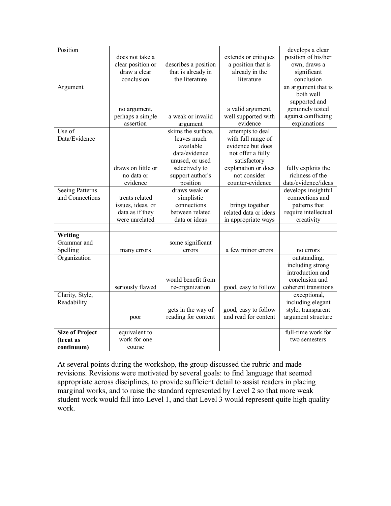| Position               |                    |                      |                       | develops a clear     |
|------------------------|--------------------|----------------------|-----------------------|----------------------|
|                        | does not take a    |                      | extends or critiques  | position of his/her  |
|                        | clear position or  | describes a position | a position that is    | own, draws a         |
|                        | draw a clear       | that is already in   | already in the        | significant          |
|                        | conclusion         | the literature       | literature            | conclusion           |
| Argument               |                    |                      |                       | an argument that is  |
|                        |                    |                      |                       | both well            |
|                        |                    |                      |                       | supported and        |
|                        | no argument,       |                      | a valid argument,     | genuinely tested     |
|                        | perhaps a simple   | a weak or invalid    | well supported with   | against conflicting  |
|                        | assertion          | argument             | evidence              | explanations         |
| Use of                 |                    | skims the surface,   | attempts to deal      |                      |
| Data/Evidence          |                    | leaves much          | with full range of    |                      |
|                        |                    | available            | evidence but does     |                      |
|                        |                    | data/evidence        | not offer a fully     |                      |
|                        |                    | unused, or used      | satisfactory          |                      |
|                        | draws on little or | selectively to       | explanation or does   | fully exploits the   |
|                        | no data or         | support author's     | not consider          | richness of the      |
|                        | evidence           | position             | counter-evidence      | data/evidence/ideas  |
| <b>Seeing Patterns</b> |                    | draws weak or        |                       | develops insightful  |
| and Connections        | treats related     | simplistic           |                       | connections and      |
|                        | issues, ideas, or  | connections          | brings together       | patterns that        |
|                        | data as if they    | between related      | related data or ideas | require intellectual |
|                        | were unrelated     | data or ideas        | in appropriate ways   | creativity           |
|                        |                    |                      |                       |                      |
| Writing                |                    |                      |                       |                      |
| Grammar and            |                    | some significant     |                       |                      |
| Spelling               | many errors        | errors               | a few minor errors    | no errors            |
| Organization           |                    |                      |                       | outstanding,         |
|                        |                    |                      |                       | including strong     |
|                        |                    |                      |                       | introduction and     |
|                        |                    | would benefit from   |                       | conclusion and       |
|                        | seriously flawed   | re-organization      | good, easy to follow  | coherent transitions |
| Clarity, Style,        |                    |                      |                       | exceptional,         |
| Readability            |                    |                      |                       | including elegant    |
|                        |                    | gets in the way of   | good, easy to follow  | style, transparent   |
|                        | poor               | reading for content  | and read for content  | argument structure   |
|                        |                    |                      |                       |                      |
| <b>Size of Project</b> | equivalent to      |                      |                       | full-time work for   |
| (treat as              | work for one       |                      |                       | two semesters        |
| continuum)             | course             |                      |                       |                      |

At several points during the workshop, the group discussed the rubric and made revisions. Revisions were motivated by several goals: to find language that seemed appropriate across disciplines, to provide sufficient detail to assist readers in placing marginal works, and to raise the standard represented by Level 2 so that more weak student work would fall into Level 1, and that Level 3 would represent quite high quality work.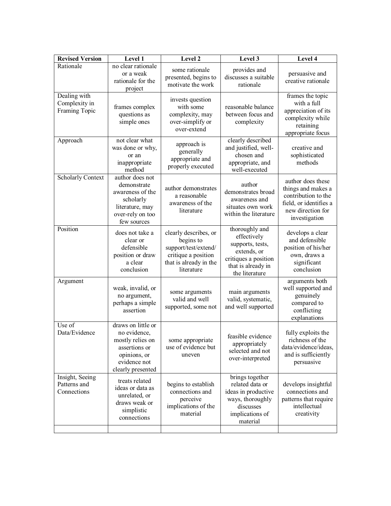| <b>Revised Version</b>                         | Level 1                                                                                                                      | Level 2                                                                                                                   | Level 3                                                                                                                          | Level $\overline{4}$                                                                                                           |
|------------------------------------------------|------------------------------------------------------------------------------------------------------------------------------|---------------------------------------------------------------------------------------------------------------------------|----------------------------------------------------------------------------------------------------------------------------------|--------------------------------------------------------------------------------------------------------------------------------|
| Rationale                                      | no clear rationale<br>or a weak<br>rationale for the<br>project                                                              | some rationale<br>presented, begins to<br>motivate the work                                                               | provides and<br>discusses a suitable<br>rationale                                                                                | persuasive and<br>creative rationale                                                                                           |
| Dealing with<br>Complexity in<br>Framing Topic | frames complex<br>questions as<br>simple ones                                                                                | invests question<br>with some<br>complexity, may<br>over-simplify or<br>over-extend                                       | reasonable balance<br>between focus and<br>complexity                                                                            | frames the topic<br>with a full<br>appreciation of its<br>complexity while<br>retaining<br>appropriate focus                   |
| Approach                                       | not clear what<br>was done or why,<br>or an<br>inappropriate<br>method                                                       | approach is<br>generally<br>appropriate and<br>properly executed                                                          | clearly described<br>and justified, well-<br>chosen and<br>appropriate, and<br>well-executed                                     | creative and<br>sophisticated<br>methods                                                                                       |
| <b>Scholarly Context</b>                       | author does not<br>demonstrate<br>awareness of the<br>scholarly<br>literature, may<br>over-rely on too<br>few sources        | author demonstrates<br>a reasonable<br>awareness of the<br>literature                                                     | author<br>demonstrates broad<br>awareness and<br>situates own work<br>within the literature                                      | author does these<br>things and makes a<br>contribution to the<br>field, or identifies a<br>new direction for<br>investigation |
| Position                                       | does not take a<br>clear or<br>defensible<br>position or draw<br>a clear<br>conclusion                                       | clearly describes, or<br>begins to<br>support/test/extend/<br>critique a position<br>that is already in the<br>literature | thoroughly and<br>effectively<br>supports, tests,<br>extends, or<br>critiques a position<br>that is already in<br>the literature | develops a clear<br>and defensible<br>position of his/her<br>own, draws a<br>significant<br>conclusion                         |
| Argument                                       | weak, invalid, or<br>no argument,<br>perhaps a simple<br>assertion                                                           | some arguments<br>valid and well<br>supported, some not                                                                   | main arguments<br>valid, systematic,<br>and well supported                                                                       | arguments both<br>well supported and<br>genuinely<br>compared to<br>conflicting<br>explanations                                |
| Use of<br>Data/Evidence                        | draws on little or<br>no evidence,<br>mostly relies on<br>assertions or<br>opinions, or<br>evidence not<br>clearly presented | some appropriate<br>use of evidence but<br>uneven                                                                         | feasible evidence<br>appropriately<br>selected and not<br>over-interpreted                                                       | fully exploits the<br>richness of the<br>data/evidence/ideas,<br>and is sufficiently<br>persuasive                             |
| Insight, Seeing<br>Patterns and<br>Connections | treats related<br>ideas or data as<br>unrelated, or<br>draws weak or<br>simplistic<br>connections                            | begins to establish<br>connections and<br>perceive<br>implications of the<br>material                                     | brings together<br>related data or<br>ideas in productive<br>ways, thoroughly<br>discusses<br>implications of<br>material        | develops insightful<br>connections and<br>patterns that require<br>intellectual<br>creativity                                  |
|                                                |                                                                                                                              |                                                                                                                           |                                                                                                                                  |                                                                                                                                |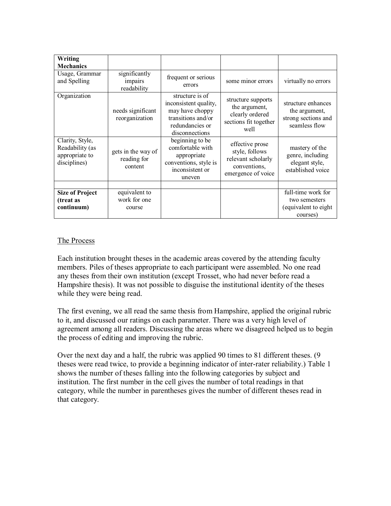| Writing<br><b>Mechanics</b>                                          |                                              |                                                                                                                        |                                                                                               |                                                                             |
|----------------------------------------------------------------------|----------------------------------------------|------------------------------------------------------------------------------------------------------------------------|-----------------------------------------------------------------------------------------------|-----------------------------------------------------------------------------|
| Usage, Grammar<br>and Spelling                                       | significantly<br>impairs<br>readability      | frequent or serious<br>errors                                                                                          | some minor errors                                                                             | virtually no errors                                                         |
| Organization                                                         | needs significant<br>reorganization          | structure is of<br>inconsistent quality,<br>may have choppy<br>transitions and/or<br>redundancies or<br>disconnections | structure supports<br>the argument,<br>clearly ordered<br>sections fit together<br>well       | structure enhances<br>the argument,<br>strong sections and<br>seamless flow |
| Clarity, Style,<br>Readability (as<br>appropriate to<br>disciplines) | gets in the way of<br>reading for<br>content | beginning to be<br>comfortable with<br>appropriate<br>conventions, style is<br>inconsistent or<br>uneven               | effective prose<br>style, follows<br>relevant scholarly<br>conventions,<br>emergence of voice | mastery of the<br>genre, including<br>elegant style,<br>established voice   |
|                                                                      |                                              |                                                                                                                        |                                                                                               |                                                                             |
| <b>Size of Project</b>                                               | equivalent to                                |                                                                                                                        |                                                                                               | full-time work for                                                          |
| (treat as                                                            | work for one                                 |                                                                                                                        |                                                                                               | two semesters                                                               |
| continuum)                                                           | course                                       |                                                                                                                        |                                                                                               | (equivalent to eight<br>courses)                                            |

#### The Process

Each institution brought theses in the academic areas covered by the attending faculty members. Piles of theses appropriate to each participant were assembled. No one read any theses from their own institution (except Trosset, who had never before read a Hampshire thesis). It was not possible to disguise the institutional identity of the theses while they were being read.

The first evening, we all read the same thesis from Hampshire, applied the original rubric to it, and discussed our ratings on each parameter. There was a very high level of agreement among all readers. Discussing the areas where we disagreed helped us to begin the process of editing and improving the rubric.

Over the next day and a half, the rubric was applied 90 times to 81 different theses. (9 theses were read twice, to provide a beginning indicator of inter-rater reliability.) Table 1 shows the number of theses falling into the following categories by subject and institution. The first number in the cell gives the number of total readings in that category, while the number in parentheses gives the number of different theses read in that category.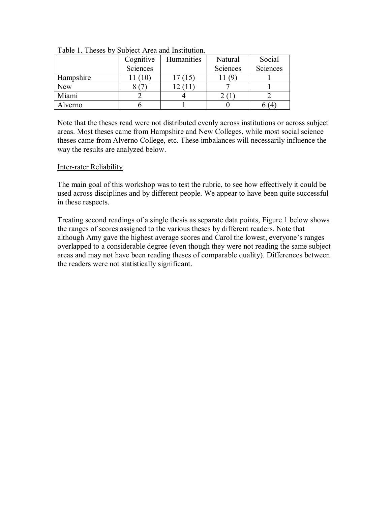|            | Cognitive | Humanities | Natural  | Social   |
|------------|-----------|------------|----------|----------|
|            | Sciences  |            | Sciences | Sciences |
| Hampshire  |           | 17 (15     |          |          |
| <b>New</b> |           |            |          |          |
| Miami      |           |            |          |          |
| Alverno    |           |            |          |          |

Table 1. Theses by Subject Area and Institution.

Note that the theses read were not distributed evenly across institutions or across subject areas. Most theses came from Hampshire and New Colleges, while most social science theses came from Alverno College, etc. These imbalances will necessarily influence the way the results are analyzed below.

#### Inter-rater Reliability

The main goal of this workshop was to test the rubric, to see how effectively it could be used across disciplines and by different people. We appear to have been quite successful in these respects.

Treating second readings of a single thesis as separate data points, Figure 1 below shows the ranges of scores assigned to the various theses by different readers. Note that although Amy gave the highest average scores and Carol the lowest, everyone's ranges overlapped to a considerable degree (even though they were not reading the same subject areas and may not have been reading theses of comparable quality). Differences between the readers were not statistically significant.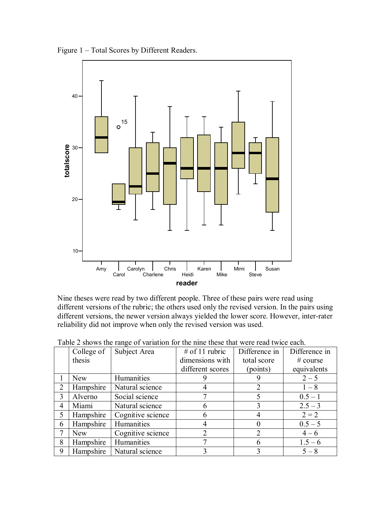Figure 1 – Total Scores by Different Readers.



Nine theses were read by two different people. Three of these pairs were read using different versions of the rubric; the others used only the revised version. In the pairs using different versions, the newer version always yielded the lower score. However, inter-rater reliability did not improve when only the revised version was used.

|                | College of | Twore $\equiv$ one me importance of the memory of the noise that were read three<br>Subject Area | # of 11 rubric   | Difference in  | Difference in |
|----------------|------------|--------------------------------------------------------------------------------------------------|------------------|----------------|---------------|
|                | thesis     |                                                                                                  | dimensions with  | total score    | # course      |
|                |            |                                                                                                  | different scores | (points)       | equivalents   |
|                | <b>New</b> | Humanities                                                                                       |                  |                | $2 - 5$       |
| 2              | Hampshire  | Natural science                                                                                  |                  | 2              | $1 - 8$       |
| 3              | Alverno    | Social science                                                                                   |                  | 5              | $0.5 - 1$     |
| $\overline{4}$ | Miami      | Natural science                                                                                  | 6                | 3              | $2.5 - 3$     |
| 5              | Hampshire  | Cognitive science                                                                                | 6                |                | $2 = 2$       |
| 6              | Hampshire  | Humanities                                                                                       |                  | 0              | $0.5 - 5$     |
| 7              | <b>New</b> | Cognitive science                                                                                | $\overline{2}$   | $\overline{2}$ | $4 - 6$       |
| 8              | Hampshire  | Humanities                                                                                       |                  | 6              | $1.5 - 6$     |
| 9              | Hampshire  | Natural science                                                                                  |                  | 3              | $5 - 8$       |

Table 2 shows the range of variation for the nine these that were read twice each.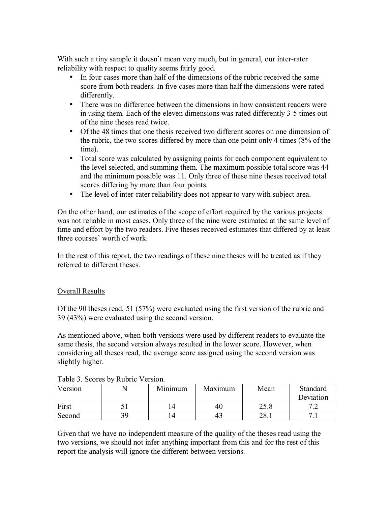With such a tiny sample it doesn't mean very much, but in general, our inter-rater reliability with respect to quality seems fairly good.

- In four cases more than half of the dimensions of the rubric received the same score from both readers. In five cases more than half the dimensions were rated differently.
- There was no difference between the dimensions in how consistent readers were in using them. Each of the eleven dimensions was rated differently 3-5 times out of the nine theses read twice.
- Of the 48 times that one thesis received two different scores on one dimension of the rubric, the two scores differed by more than one point only 4 times (8% of the time).
- Total score was calculated by assigning points for each component equivalent to the level selected, and summing them. The maximum possible total score was 44 and the minimum possible was 11. Only three of these nine theses received total scores differing by more than four points.
- The level of inter-rater reliability does not appear to vary with subject area.

On the other hand, our estimates of the scope of effort required by the various projects was not reliable in most cases. Only three of the nine were estimated at the same level of time and effort by the two readers. Five theses received estimates that differed by at least three courses' worth of work.

In the rest of this report, the two readings of these nine theses will be treated as if they referred to different theses.

# Overall Results

Of the 90 theses read, 51 (57%) were evaluated using the first version of the rubric and 39 (43%) were evaluated using the second version.

As mentioned above, when both versions were used by different readers to evaluate the same thesis, the second version always resulted in the lower score. However, when considering all theses read, the average score assigned using the second version was slightly higher.

| Version |    | Minimum | Maximum | Mean         | Standard<br>Deviation   |
|---------|----|---------|---------|--------------|-------------------------|
| First   |    |         | 40      | າເ ດ<br>20.0 | $\overline{ }$ .<br>. . |
| Second  | 39 |         | 43      | າດ<br>40. L  |                         |

Table 3. Scores by Rubric Version.

Given that we have no independent measure of the quality of the theses read using the two versions, we should not infer anything important from this and for the rest of this report the analysis will ignore the different between versions.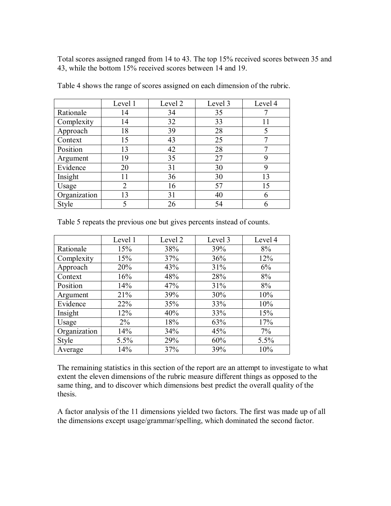Total scores assigned ranged from 14 to 43. The top 15% received scores between 35 and 43, while the bottom 15% received scores between 14 and 19.

|              | Level 1 | Level 2 | Level 3 | Level 4 |
|--------------|---------|---------|---------|---------|
| Rationale    | 14      | 34      | 35      |         |
| Complexity   | 14      | 32      | 33      |         |
| Approach     | 18      | 39      | 28      |         |
| Context      | 15      | 43      | 25      |         |
| Position     | 13      | 42      | 28      |         |
| Argument     | 19      | 35      | 27      |         |
| Evidence     | 20      | 31      | 30      |         |
| Insight      | 11      | 36      | 30      | 13      |
| Usage        | 2       | 16      | 57      | 15      |
| Organization | 13      | 31      | 40      |         |
| Style        | 5       | 26      | 54      |         |

Table 4 shows the range of scores assigned on each dimension of the rubric.

| Table 5 repeats the previous one but gives percents instead of counts. |
|------------------------------------------------------------------------|
|------------------------------------------------------------------------|

|              | Level 1 | Level 2 | Level 3 | Level 4 |
|--------------|---------|---------|---------|---------|
| Rationale    | 15%     | 38%     | 39%     | 8%      |
| Complexity   | 15%     | 37%     | 36%     | 12%     |
| Approach     | 20%     | 43%     | 31%     | 6%      |
| Context      | 16%     | 48%     | 28%     | 8%      |
| Position     | 14%     | 47%     | 31%     | 8%      |
| Argument     | 21%     | 39%     | 30%     | 10%     |
| Evidence     | 22%     | 35%     | 33%     | 10%     |
| Insight      | 12%     | 40%     | 33%     | 15%     |
| Usage        | $2\%$   | 18%     | 63%     | 17%     |
| Organization | 14%     | 34%     | 45%     | 7%      |
| <b>Style</b> | 5.5%    | 29%     | 60%     | 5.5%    |
| Average      | 14%     | 37%     | 39%     | 10%     |

The remaining statistics in this section of the report are an attempt to investigate to what extent the eleven dimensions of the rubric measure different things as opposed to the same thing, and to discover which dimensions best predict the overall quality of the thesis.

A factor analysis of the 11 dimensions yielded two factors. The first was made up of all the dimensions except usage/grammar/spelling, which dominated the second factor.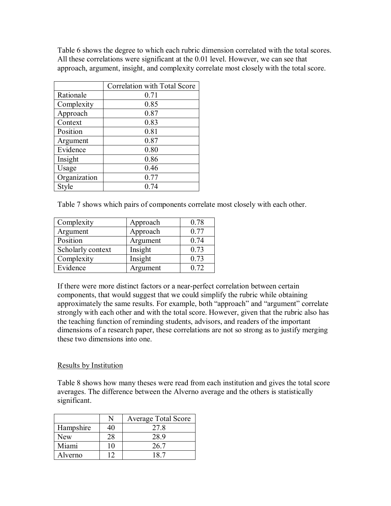Table 6 shows the degree to which each rubric dimension correlated with the total scores. All these correlations were significant at the 0.01 level. However, we can see that approach, argument, insight, and complexity correlate most closely with the total score.

|              | Correlation with Total Score |
|--------------|------------------------------|
| Rationale    | 0.71                         |
| Complexity   | 0.85                         |
| Approach     | 0.87                         |
| Context      | 0.83                         |
| Position     | 0.81                         |
| Argument     | 0.87                         |
| Evidence     | 0.80                         |
| Insight      | 0.86                         |
| Usage        | 0.46                         |
| Organization | 0.77                         |
| Style        | 0.74                         |

Table 7 shows which pairs of components correlate most closely with each other.

| Complexity        | Approach | 0.78 |
|-------------------|----------|------|
| Argument          | Approach | 0.77 |
| Position          | Argument | 0.74 |
| Scholarly context | Insight  | 0.73 |
| Complexity        | Insight  | 0.73 |
| Evidence          | Argument | 0.72 |

If there were more distinct factors or a near-perfect correlation between certain components, that would suggest that we could simplify the rubric while obtaining approximately the same results. For example, both "approach" and "argument" correlate strongly with each other and with the total score. However, given that the rubric also has the teaching function of reminding students, advisors, and readers of the important dimensions of a research paper, these correlations are not so strong as to justify merging these two dimensions into one.

# Results by Institution

Table 8 shows how many theses were read from each institution and gives the total score averages. The difference between the Alverno average and the others is statistically significant.

|           |    | <b>Average Total Score</b> |  |
|-----------|----|----------------------------|--|
| Hampshire |    | 27.8                       |  |
| New       | 28 | 28.9                       |  |
| Miami     |    | 26.7                       |  |
| Alverno   |    |                            |  |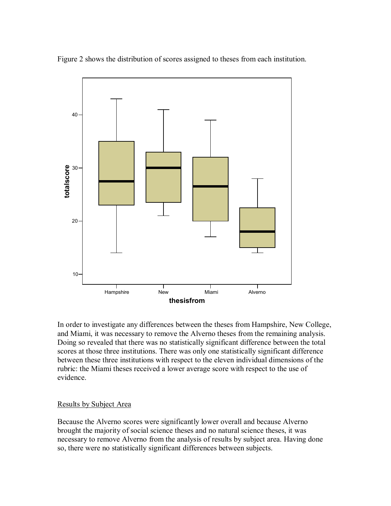Figure 2 shows the distribution of scores assigned to theses from each institution.



In order to investigate any differences between the theses from Hampshire, New College, and Miami, it was necessary to remove the Alverno theses from the remaining analysis. Doing so revealed that there was no statistically significant difference between the total scores at those three institutions. There was only one statistically significant difference between these three institutions with respect to the eleven individual dimensions of the rubric: the Miami theses received a lower average score with respect to the use of evidence.

#### Results by Subject Area

Because the Alverno scores were significantly lower overall and because Alverno brought the majority of social science theses and no natural science theses, it was necessary to remove Alverno from the analysis of results by subject area. Having done so, there were no statistically significant differences between subjects.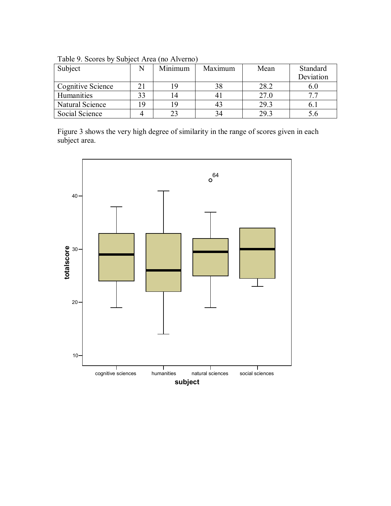| Subject           |          | Minimum | Maximum | Mean | Standard<br>Deviation |
|-------------------|----------|---------|---------|------|-----------------------|
| Cognitive Science |          |         |         | 28.2 | 6.0                   |
| Humanities        |          | 14      |         | 27.0 | 77                    |
| Natural Science   | $\Omega$ | 19      |         | 29.3 | b.                    |
| Social Science    |          |         |         | 29.3 |                       |

Table 9. Scores by Subject Area (no Alverno)

Figure 3 shows the very high degree of similarity in the range of scores given in each subject area.